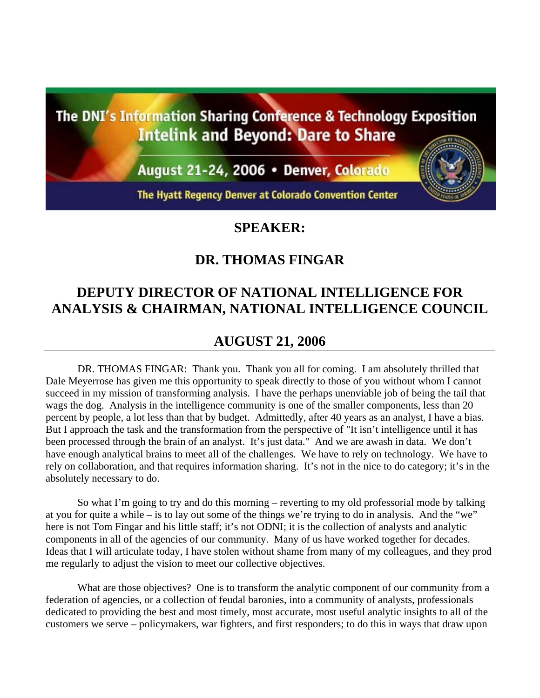The DNI's Information Sharing Conference & Technology Exposition **Intelink and Beyond: Dare to Share** 

August 21-24, 2006 • Denver, Colorado

The Hyatt Regency Denver at Colorado Convention Center

## **SPEAKER:**

## **DR. THOMAS FINGAR**

## **DEPUTY DIRECTOR OF NATIONAL INTELLIGENCE FOR ANALYSIS & CHAIRMAN, NATIONAL INTELLIGENCE COUNCIL**

## **AUGUST 21, 2006**

DR. THOMAS FINGAR: Thank you. Thank you all for coming. I am absolutely thrilled that Dale Meyerrose has given me this opportunity to speak directly to those of you without whom I cannot succeed in my mission of transforming analysis. I have the perhaps unenviable job of being the tail that wags the dog. Analysis in the intelligence community is one of the smaller components, less than 20 percent by people, a lot less than that by budget. Admittedly, after 40 years as an analyst, I have a bias. But I approach the task and the transformation from the perspective of "It isn't intelligence until it has been processed through the brain of an analyst. It's just data." And we are awash in data. We don't have enough analytical brains to meet all of the challenges. We have to rely on technology. We have to rely on collaboration, and that requires information sharing. It's not in the nice to do category; it's in the absolutely necessary to do.

So what I'm going to try and do this morning – reverting to my old professorial mode by talking at you for quite a while – is to lay out some of the things we're trying to do in analysis. And the "we" here is not Tom Fingar and his little staff; it's not ODNI; it is the collection of analysts and analytic components in all of the agencies of our community. Many of us have worked together for decades. Ideas that I will articulate today, I have stolen without shame from many of my colleagues, and they prod me regularly to adjust the vision to meet our collective objectives.

What are those objectives? One is to transform the analytic component of our community from a federation of agencies, or a collection of feudal baronies, into a community of analysts, professionals dedicated to providing the best and most timely, most accurate, most useful analytic insights to all of the customers we serve – policymakers, war fighters, and first responders; to do this in ways that draw upon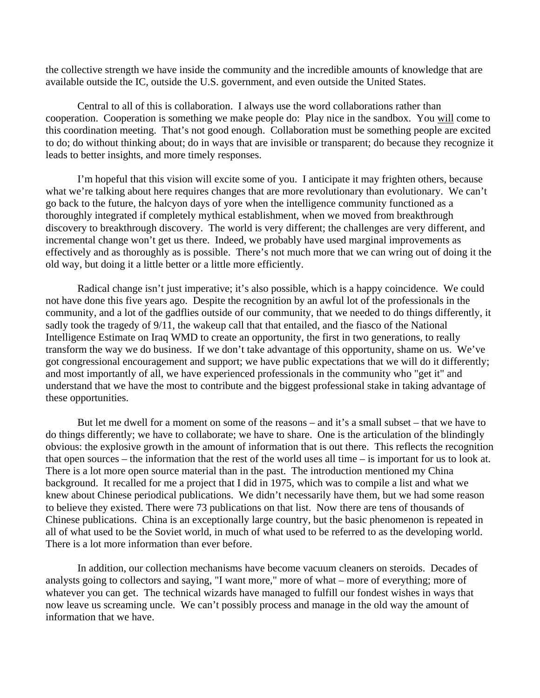the collective strength we have inside the community and the incredible amounts of knowledge that are available outside the IC, outside the U.S. government, and even outside the United States.

Central to all of this is collaboration. I always use the word collaborations rather than cooperation. Cooperation is something we make people do: Play nice in the sandbox. You will come to this coordination meeting. That's not good enough. Collaboration must be something people are excited to do; do without thinking about; do in ways that are invisible or transparent; do because they recognize it leads to better insights, and more timely responses.

I'm hopeful that this vision will excite some of you. I anticipate it may frighten others, because what we're talking about here requires changes that are more revolutionary than evolutionary. We can't go back to the future, the halcyon days of yore when the intelligence community functioned as a thoroughly integrated if completely mythical establishment, when we moved from breakthrough discovery to breakthrough discovery. The world is very different; the challenges are very different, and incremental change won't get us there. Indeed, we probably have used marginal improvements as effectively and as thoroughly as is possible. There's not much more that we can wring out of doing it the old way, but doing it a little better or a little more efficiently.

Radical change isn't just imperative; it's also possible, which is a happy coincidence. We could not have done this five years ago. Despite the recognition by an awful lot of the professionals in the community, and a lot of the gadflies outside of our community, that we needed to do things differently, it sadly took the tragedy of  $9/11$ , the wakeup call that that entailed, and the fiasco of the National Intelligence Estimate on Iraq WMD to create an opportunity, the first in two generations, to really transform the way we do business. If we don't take advantage of this opportunity, shame on us. We've got congressional encouragement and support; we have public expectations that we will do it differently; and most importantly of all, we have experienced professionals in the community who "get it" and understand that we have the most to contribute and the biggest professional stake in taking advantage of these opportunities.

But let me dwell for a moment on some of the reasons – and it's a small subset – that we have to do things differently; we have to collaborate; we have to share. One is the articulation of the blindingly obvious: the explosive growth in the amount of information that is out there. This reflects the recognition that open sources – the information that the rest of the world uses all time – is important for us to look at. There is a lot more open source material than in the past. The introduction mentioned my China background. It recalled for me a project that I did in 1975, which was to compile a list and what we knew about Chinese periodical publications. We didn't necessarily have them, but we had some reason to believe they existed. There were 73 publications on that list. Now there are tens of thousands of Chinese publications. China is an exceptionally large country, but the basic phenomenon is repeated in all of what used to be the Soviet world, in much of what used to be referred to as the developing world. There is a lot more information than ever before.

In addition, our collection mechanisms have become vacuum cleaners on steroids. Decades of analysts going to collectors and saying, "I want more," more of what – more of everything; more of whatever you can get. The technical wizards have managed to fulfill our fondest wishes in ways that now leave us screaming uncle. We can't possibly process and manage in the old way the amount of information that we have.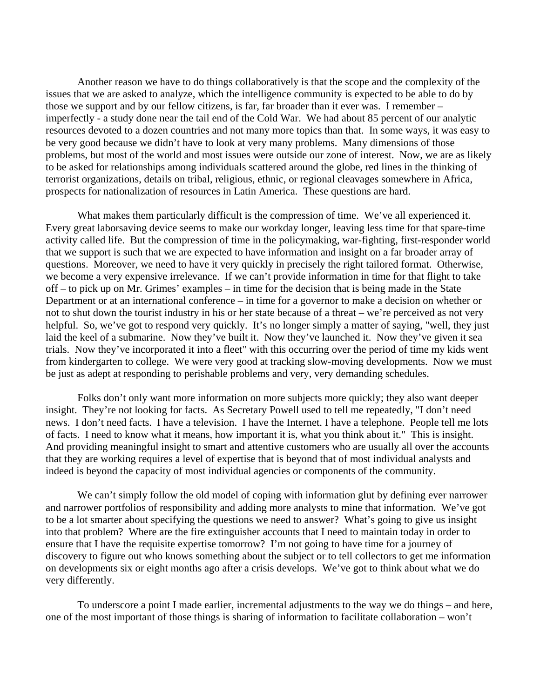Another reason we have to do things collaboratively is that the scope and the complexity of the issues that we are asked to analyze, which the intelligence community is expected to be able to do by those we support and by our fellow citizens, is far, far broader than it ever was. I remember – imperfectly - a study done near the tail end of the Cold War. We had about 85 percent of our analytic resources devoted to a dozen countries and not many more topics than that. In some ways, it was easy to be very good because we didn't have to look at very many problems. Many dimensions of those problems, but most of the world and most issues were outside our zone of interest. Now, we are as likely to be asked for relationships among individuals scattered around the globe, red lines in the thinking of terrorist organizations, details on tribal, religious, ethnic, or regional cleavages somewhere in Africa, prospects for nationalization of resources in Latin America. These questions are hard.

What makes them particularly difficult is the compression of time. We've all experienced it. Every great laborsaving device seems to make our workday longer, leaving less time for that spare-time activity called life. But the compression of time in the policymaking, war-fighting, first-responder world that we support is such that we are expected to have information and insight on a far broader array of questions. Moreover, we need to have it very quickly in precisely the right tailored format. Otherwise, we become a very expensive irrelevance. If we can't provide information in time for that flight to take off – to pick up on Mr. Grimes' examples – in time for the decision that is being made in the State Department or at an international conference – in time for a governor to make a decision on whether or not to shut down the tourist industry in his or her state because of a threat – we're perceived as not very helpful. So, we've got to respond very quickly. It's no longer simply a matter of saying, "well, they just laid the keel of a submarine. Now they've built it. Now they've launched it. Now they've given it sea trials. Now they've incorporated it into a fleet" with this occurring over the period of time my kids went from kindergarten to college. We were very good at tracking slow-moving developments. Now we must be just as adept at responding to perishable problems and very, very demanding schedules.

Folks don't only want more information on more subjects more quickly; they also want deeper insight. They're not looking for facts. As Secretary Powell used to tell me repeatedly, "I don't need news. I don't need facts. I have a television. I have the Internet. I have a telephone. People tell me lots of facts. I need to know what it means, how important it is, what you think about it." This is insight. And providing meaningful insight to smart and attentive customers who are usually all over the accounts that they are working requires a level of expertise that is beyond that of most individual analysts and indeed is beyond the capacity of most individual agencies or components of the community.

We can't simply follow the old model of coping with information glut by defining ever narrower and narrower portfolios of responsibility and adding more analysts to mine that information. We've got to be a lot smarter about specifying the questions we need to answer? What's going to give us insight into that problem? Where are the fire extinguisher accounts that I need to maintain today in order to ensure that I have the requisite expertise tomorrow? I'm not going to have time for a journey of discovery to figure out who knows something about the subject or to tell collectors to get me information on developments six or eight months ago after a crisis develops. We've got to think about what we do very differently.

To underscore a point I made earlier, incremental adjustments to the way we do things – and here, one of the most important of those things is sharing of information to facilitate collaboration – won't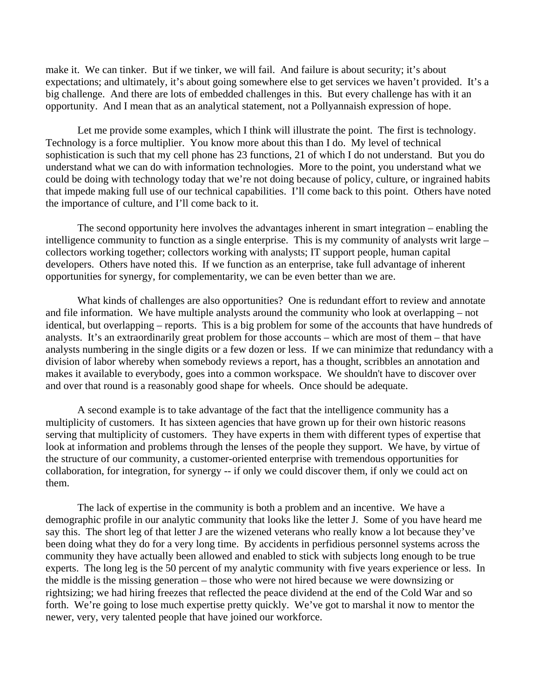make it. We can tinker. But if we tinker, we will fail. And failure is about security; it's about expectations; and ultimately, it's about going somewhere else to get services we haven't provided. It's a big challenge. And there are lots of embedded challenges in this. But every challenge has with it an opportunity. And I mean that as an analytical statement, not a Pollyannaish expression of hope.

Let me provide some examples, which I think will illustrate the point. The first is technology. Technology is a force multiplier. You know more about this than I do. My level of technical sophistication is such that my cell phone has 23 functions, 21 of which I do not understand. But you do understand what we can do with information technologies. More to the point, you understand what we could be doing with technology today that we're not doing because of policy, culture, or ingrained habits that impede making full use of our technical capabilities. I'll come back to this point. Others have noted the importance of culture, and I'll come back to it.

The second opportunity here involves the advantages inherent in smart integration – enabling the intelligence community to function as a single enterprise. This is my community of analysts writ large – collectors working together; collectors working with analysts; IT support people, human capital developers. Others have noted this. If we function as an enterprise, take full advantage of inherent opportunities for synergy, for complementarity, we can be even better than we are.

What kinds of challenges are also opportunities? One is redundant effort to review and annotate and file information. We have multiple analysts around the community who look at overlapping – not identical, but overlapping – reports. This is a big problem for some of the accounts that have hundreds of analysts. It's an extraordinarily great problem for those accounts – which are most of them – that have analysts numbering in the single digits or a few dozen or less. If we can minimize that redundancy with a division of labor whereby when somebody reviews a report, has a thought, scribbles an annotation and makes it available to everybody, goes into a common workspace. We shouldn't have to discover over and over that round is a reasonably good shape for wheels. Once should be adequate.

A second example is to take advantage of the fact that the intelligence community has a multiplicity of customers. It has sixteen agencies that have grown up for their own historic reasons serving that multiplicity of customers. They have experts in them with different types of expertise that look at information and problems through the lenses of the people they support. We have, by virtue of the structure of our community, a customer-oriented enterprise with tremendous opportunities for collaboration, for integration, for synergy -- if only we could discover them, if only we could act on them.

The lack of expertise in the community is both a problem and an incentive. We have a demographic profile in our analytic community that looks like the letter J. Some of you have heard me say this. The short leg of that letter J are the wizened veterans who really know a lot because they've been doing what they do for a very long time. By accidents in perfidious personnel systems across the community they have actually been allowed and enabled to stick with subjects long enough to be true experts. The long leg is the 50 percent of my analytic community with five years experience or less. In the middle is the missing generation – those who were not hired because we were downsizing or rightsizing; we had hiring freezes that reflected the peace dividend at the end of the Cold War and so forth. We're going to lose much expertise pretty quickly. We've got to marshal it now to mentor the newer, very, very talented people that have joined our workforce.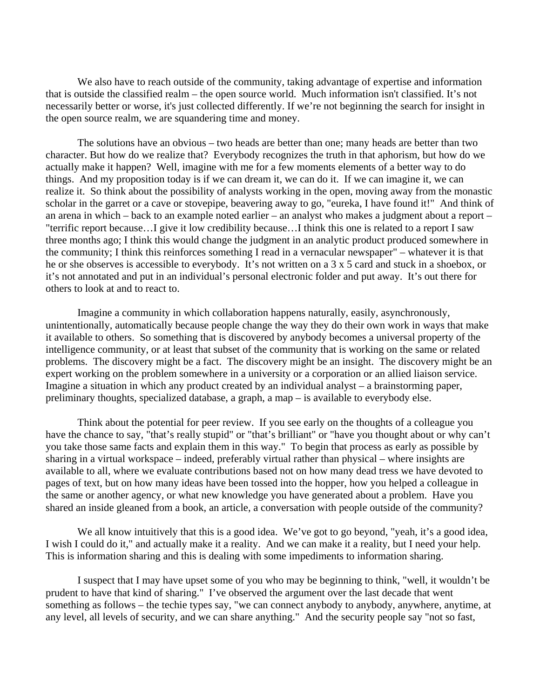We also have to reach outside of the community, taking advantage of expertise and information that is outside the classified realm – the open source world. Much information isn't classified. It's not necessarily better or worse, it's just collected differently. If we're not beginning the search for insight in the open source realm, we are squandering time and money.

The solutions have an obvious – two heads are better than one; many heads are better than two character. But how do we realize that? Everybody recognizes the truth in that aphorism, but how do we actually make it happen? Well, imagine with me for a few moments elements of a better way to do things. And my proposition today is if we can dream it, we can do it. If we can imagine it, we can realize it. So think about the possibility of analysts working in the open, moving away from the monastic scholar in the garret or a cave or stovepipe, beavering away to go, "eureka, I have found it!" And think of an arena in which – back to an example noted earlier – an analyst who makes a judgment about a report – "terrific report because…I give it low credibility because…I think this one is related to a report I saw three months ago; I think this would change the judgment in an analytic product produced somewhere in the community; I think this reinforces something I read in a vernacular newspaper" – whatever it is that he or she observes is accessible to everybody. It's not written on a 3 x 5 card and stuck in a shoebox, or it's not annotated and put in an individual's personal electronic folder and put away. It's out there for others to look at and to react to.

Imagine a community in which collaboration happens naturally, easily, asynchronously, unintentionally, automatically because people change the way they do their own work in ways that make it available to others. So something that is discovered by anybody becomes a universal property of the intelligence community, or at least that subset of the community that is working on the same or related problems. The discovery might be a fact. The discovery might be an insight. The discovery might be an expert working on the problem somewhere in a university or a corporation or an allied liaison service. Imagine a situation in which any product created by an individual analyst – a brainstorming paper, preliminary thoughts, specialized database, a graph, a map – is available to everybody else.

Think about the potential for peer review. If you see early on the thoughts of a colleague you have the chance to say, "that's really stupid" or "that's brilliant" or "have you thought about or why can't you take those same facts and explain them in this way." To begin that process as early as possible by sharing in a virtual workspace – indeed, preferably virtual rather than physical – where insights are available to all, where we evaluate contributions based not on how many dead tress we have devoted to pages of text, but on how many ideas have been tossed into the hopper, how you helped a colleague in the same or another agency, or what new knowledge you have generated about a problem. Have you shared an inside gleaned from a book, an article, a conversation with people outside of the community?

We all know intuitively that this is a good idea. We've got to go beyond, "yeah, it's a good idea, I wish I could do it," and actually make it a reality. And we can make it a reality, but I need your help. This is information sharing and this is dealing with some impediments to information sharing.

I suspect that I may have upset some of you who may be beginning to think, "well, it wouldn't be prudent to have that kind of sharing." I've observed the argument over the last decade that went something as follows – the techie types say, "we can connect anybody to anybody, anywhere, anytime, at any level, all levels of security, and we can share anything." And the security people say "not so fast,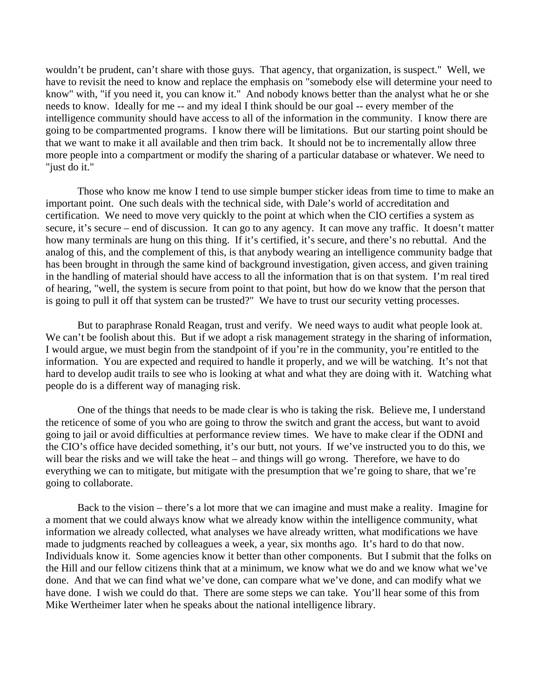wouldn't be prudent, can't share with those guys. That agency, that organization, is suspect." Well, we have to revisit the need to know and replace the emphasis on "somebody else will determine your need to know" with, "if you need it, you can know it." And nobody knows better than the analyst what he or she needs to know. Ideally for me -- and my ideal I think should be our goal -- every member of the intelligence community should have access to all of the information in the community. I know there are going to be compartmented programs. I know there will be limitations. But our starting point should be that we want to make it all available and then trim back. It should not be to incrementally allow three more people into a compartment or modify the sharing of a particular database or whatever. We need to "just do it."

Those who know me know I tend to use simple bumper sticker ideas from time to time to make an important point. One such deals with the technical side, with Dale's world of accreditation and certification. We need to move very quickly to the point at which when the CIO certifies a system as secure, it's secure – end of discussion. It can go to any agency. It can move any traffic. It doesn't matter how many terminals are hung on this thing. If it's certified, it's secure, and there's no rebuttal. And the analog of this, and the complement of this, is that anybody wearing an intelligence community badge that has been brought in through the same kind of background investigation, given access, and given training in the handling of material should have access to all the information that is on that system. I'm real tired of hearing, "well, the system is secure from point to that point, but how do we know that the person that is going to pull it off that system can be trusted?" We have to trust our security vetting processes.

But to paraphrase Ronald Reagan, trust and verify. We need ways to audit what people look at. We can't be foolish about this. But if we adopt a risk management strategy in the sharing of information, I would argue, we must begin from the standpoint of if you're in the community, you're entitled to the information. You are expected and required to handle it properly, and we will be watching. It's not that hard to develop audit trails to see who is looking at what and what they are doing with it. Watching what people do is a different way of managing risk.

One of the things that needs to be made clear is who is taking the risk. Believe me, I understand the reticence of some of you who are going to throw the switch and grant the access, but want to avoid going to jail or avoid difficulties at performance review times. We have to make clear if the ODNI and the CIO's office have decided something, it's our butt, not yours. If we've instructed you to do this, we will bear the risks and we will take the heat – and things will go wrong. Therefore, we have to do everything we can to mitigate, but mitigate with the presumption that we're going to share, that we're going to collaborate.

Back to the vision – there's a lot more that we can imagine and must make a reality. Imagine for a moment that we could always know what we already know within the intelligence community, what information we already collected, what analyses we have already written, what modifications we have made to judgments reached by colleagues a week, a year, six months ago. It's hard to do that now. Individuals know it. Some agencies know it better than other components. But I submit that the folks on the Hill and our fellow citizens think that at a minimum, we know what we do and we know what we've done. And that we can find what we've done, can compare what we've done, and can modify what we have done. I wish we could do that. There are some steps we can take. You'll hear some of this from Mike Wertheimer later when he speaks about the national intelligence library.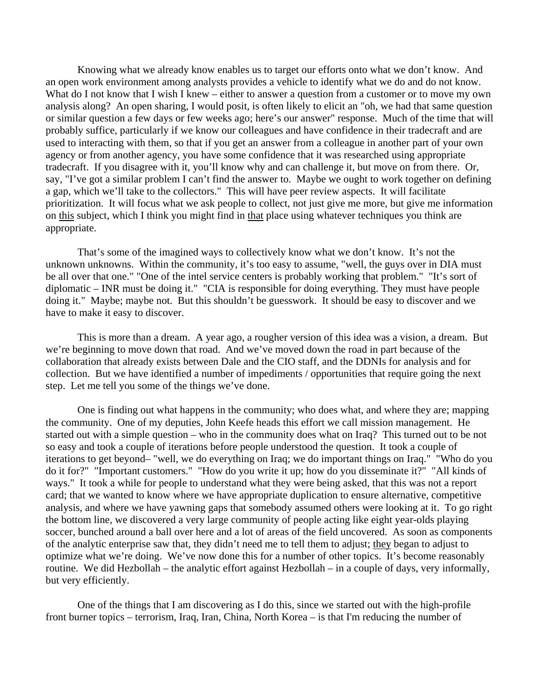Knowing what we already know enables us to target our efforts onto what we don't know. And an open work environment among analysts provides a vehicle to identify what we do and do not know. What do I not know that I wish I knew – either to answer a question from a customer or to move my own analysis along? An open sharing, I would posit, is often likely to elicit an "oh, we had that same question or similar question a few days or few weeks ago; here's our answer" response. Much of the time that will probably suffice, particularly if we know our colleagues and have confidence in their tradecraft and are used to interacting with them, so that if you get an answer from a colleague in another part of your own agency or from another agency, you have some confidence that it was researched using appropriate tradecraft. If you disagree with it, you'll know why and can challenge it, but move on from there. Or, say, "I've got a similar problem I can't find the answer to. Maybe we ought to work together on defining a gap, which we'll take to the collectors." This will have peer review aspects. It will facilitate prioritization. It will focus what we ask people to collect, not just give me more, but give me information on this subject, which I think you might find in that place using whatever techniques you think are appropriate.

That's some of the imagined ways to collectively know what we don't know. It's not the unknown unknowns. Within the community, it's too easy to assume, "well, the guys over in DIA must be all over that one." "One of the intel service centers is probably working that problem." "It's sort of diplomatic – INR must be doing it." "CIA is responsible for doing everything. They must have people doing it." Maybe; maybe not. But this shouldn't be guesswork. It should be easy to discover and we have to make it easy to discover.

This is more than a dream. A year ago, a rougher version of this idea was a vision, a dream. But we're beginning to move down that road. And we've moved down the road in part because of the collaboration that already exists between Dale and the CIO staff, and the DDNIs for analysis and for collection. But we have identified a number of impediments / opportunities that require going the next step. Let me tell you some of the things we've done.

One is finding out what happens in the community; who does what, and where they are; mapping the community. One of my deputies, John Keefe heads this effort we call mission management. He started out with a simple question – who in the community does what on Iraq? This turned out to be not so easy and took a couple of iterations before people understood the question. It took a couple of iterations to get beyond– "well, we do everything on Iraq; we do important things on Iraq." "Who do you do it for?" "Important customers." "How do you write it up; how do you disseminate it?" "All kinds of ways." It took a while for people to understand what they were being asked, that this was not a report card; that we wanted to know where we have appropriate duplication to ensure alternative, competitive analysis, and where we have yawning gaps that somebody assumed others were looking at it. To go right the bottom line, we discovered a very large community of people acting like eight year-olds playing soccer, bunched around a ball over here and a lot of areas of the field uncovered. As soon as components of the analytic enterprise saw that, they didn't need me to tell them to adjust; they began to adjust to optimize what we're doing. We've now done this for a number of other topics. It's become reasonably routine. We did Hezbollah – the analytic effort against Hezbollah – in a couple of days, very informally, but very efficiently.

One of the things that I am discovering as I do this, since we started out with the high-profile front burner topics – terrorism, Iraq, Iran, China, North Korea – is that I'm reducing the number of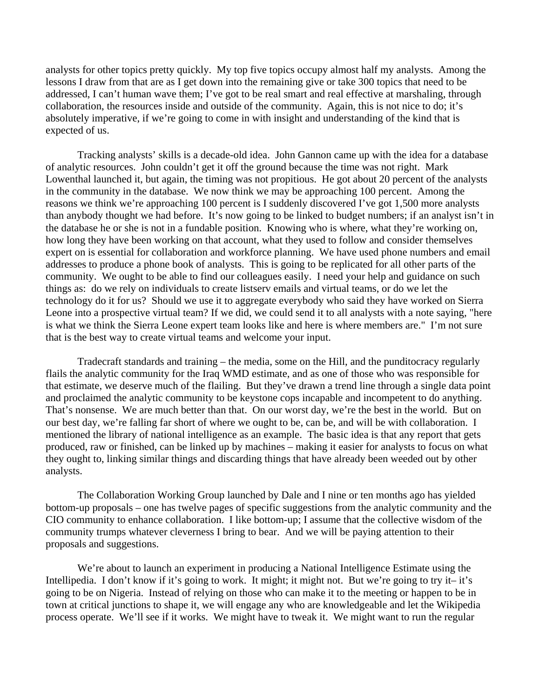analysts for other topics pretty quickly. My top five topics occupy almost half my analysts. Among the lessons I draw from that are as I get down into the remaining give or take 300 topics that need to be addressed, I can't human wave them; I've got to be real smart and real effective at marshaling, through collaboration, the resources inside and outside of the community. Again, this is not nice to do; it's absolutely imperative, if we're going to come in with insight and understanding of the kind that is expected of us.

Tracking analysts' skills is a decade-old idea. John Gannon came up with the idea for a database of analytic resources. John couldn't get it off the ground because the time was not right. Mark Lowenthal launched it, but again, the timing was not propitious. He got about 20 percent of the analysts in the community in the database. We now think we may be approaching 100 percent. Among the reasons we think we're approaching 100 percent is I suddenly discovered I've got 1,500 more analysts than anybody thought we had before. It's now going to be linked to budget numbers; if an analyst isn't in the database he or she is not in a fundable position. Knowing who is where, what they're working on, how long they have been working on that account, what they used to follow and consider themselves expert on is essential for collaboration and workforce planning. We have used phone numbers and email addresses to produce a phone book of analysts. This is going to be replicated for all other parts of the community. We ought to be able to find our colleagues easily. I need your help and guidance on such things as: do we rely on individuals to create listserv emails and virtual teams, or do we let the technology do it for us? Should we use it to aggregate everybody who said they have worked on Sierra Leone into a prospective virtual team? If we did, we could send it to all analysts with a note saying, "here is what we think the Sierra Leone expert team looks like and here is where members are." I'm not sure that is the best way to create virtual teams and welcome your input.

Tradecraft standards and training – the media, some on the Hill, and the punditocracy regularly flails the analytic community for the Iraq WMD estimate, and as one of those who was responsible for that estimate, we deserve much of the flailing. But they've drawn a trend line through a single data point and proclaimed the analytic community to be keystone cops incapable and incompetent to do anything. That's nonsense. We are much better than that. On our worst day, we're the best in the world. But on our best day, we're falling far short of where we ought to be, can be, and will be with collaboration. I mentioned the library of national intelligence as an example. The basic idea is that any report that gets produced, raw or finished, can be linked up by machines – making it easier for analysts to focus on what they ought to, linking similar things and discarding things that have already been weeded out by other analysts.

The Collaboration Working Group launched by Dale and I nine or ten months ago has yielded bottom-up proposals – one has twelve pages of specific suggestions from the analytic community and the CIO community to enhance collaboration. I like bottom-up; I assume that the collective wisdom of the community trumps whatever cleverness I bring to bear. And we will be paying attention to their proposals and suggestions.

We're about to launch an experiment in producing a National Intelligence Estimate using the Intellipedia. I don't know if it's going to work. It might; it might not. But we're going to try it– it's going to be on Nigeria. Instead of relying on those who can make it to the meeting or happen to be in town at critical junctions to shape it, we will engage any who are knowledgeable and let the Wikipedia process operate. We'll see if it works. We might have to tweak it. We might want to run the regular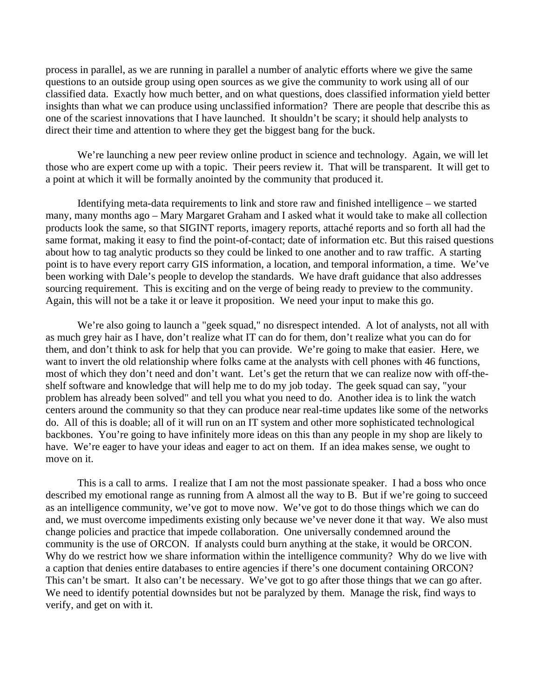process in parallel, as we are running in parallel a number of analytic efforts where we give the same questions to an outside group using open sources as we give the community to work using all of our classified data. Exactly how much better, and on what questions, does classified information yield better insights than what we can produce using unclassified information? There are people that describe this as one of the scariest innovations that I have launched. It shouldn't be scary; it should help analysts to direct their time and attention to where they get the biggest bang for the buck.

We're launching a new peer review online product in science and technology. Again, we will let those who are expert come up with a topic. Their peers review it. That will be transparent. It will get to a point at which it will be formally anointed by the community that produced it.

Identifying meta-data requirements to link and store raw and finished intelligence – we started many, many months ago – Mary Margaret Graham and I asked what it would take to make all collection products look the same, so that SIGINT reports, imagery reports, attaché reports and so forth all had the same format, making it easy to find the point-of-contact; date of information etc. But this raised questions about how to tag analytic products so they could be linked to one another and to raw traffic. A starting point is to have every report carry GIS information, a location, and temporal information, a time. We've been working with Dale's people to develop the standards. We have draft guidance that also addresses sourcing requirement. This is exciting and on the verge of being ready to preview to the community. Again, this will not be a take it or leave it proposition. We need your input to make this go.

We're also going to launch a "geek squad," no disrespect intended. A lot of analysts, not all with as much grey hair as I have, don't realize what IT can do for them, don't realize what you can do for them, and don't think to ask for help that you can provide. We're going to make that easier. Here, we want to invert the old relationship where folks came at the analysts with cell phones with 46 functions, most of which they don't need and don't want. Let's get the return that we can realize now with off-theshelf software and knowledge that will help me to do my job today. The geek squad can say, "your problem has already been solved" and tell you what you need to do. Another idea is to link the watch centers around the community so that they can produce near real-time updates like some of the networks do. All of this is doable; all of it will run on an IT system and other more sophisticated technological backbones. You're going to have infinitely more ideas on this than any people in my shop are likely to have. We're eager to have your ideas and eager to act on them. If an idea makes sense, we ought to move on it.

This is a call to arms. I realize that I am not the most passionate speaker. I had a boss who once described my emotional range as running from A almost all the way to B. But if we're going to succeed as an intelligence community, we've got to move now. We've got to do those things which we can do and, we must overcome impediments existing only because we've never done it that way. We also must change policies and practice that impede collaboration. One universally condemned around the community is the use of ORCON. If analysts could burn anything at the stake, it would be ORCON. Why do we restrict how we share information within the intelligence community? Why do we live with a caption that denies entire databases to entire agencies if there's one document containing ORCON? This can't be smart. It also can't be necessary. We've got to go after those things that we can go after. We need to identify potential downsides but not be paralyzed by them. Manage the risk, find ways to verify, and get on with it.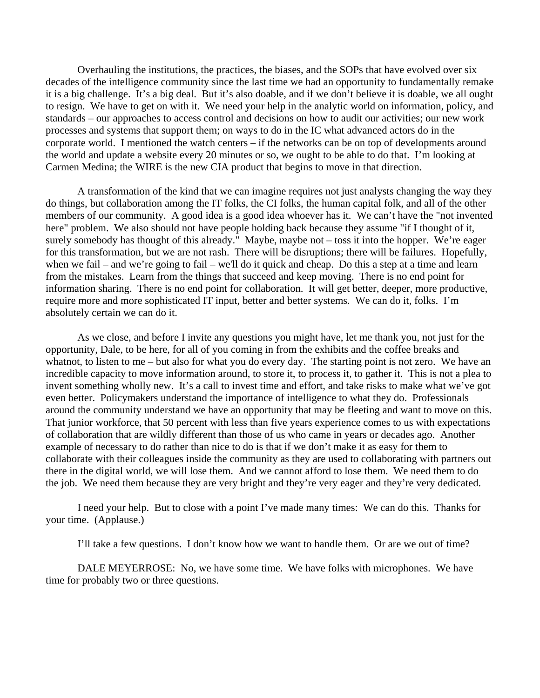Overhauling the institutions, the practices, the biases, and the SOPs that have evolved over six decades of the intelligence community since the last time we had an opportunity to fundamentally remake it is a big challenge. It's a big deal. But it's also doable, and if we don't believe it is doable, we all ought to resign. We have to get on with it. We need your help in the analytic world on information, policy, and standards – our approaches to access control and decisions on how to audit our activities; our new work processes and systems that support them; on ways to do in the IC what advanced actors do in the corporate world. I mentioned the watch centers – if the networks can be on top of developments around the world and update a website every 20 minutes or so, we ought to be able to do that. I'm looking at Carmen Medina; the WIRE is the new CIA product that begins to move in that direction.

A transformation of the kind that we can imagine requires not just analysts changing the way they do things, but collaboration among the IT folks, the CI folks, the human capital folk, and all of the other members of our community. A good idea is a good idea whoever has it. We can't have the "not invented here" problem. We also should not have people holding back because they assume "if I thought of it, surely somebody has thought of this already." Maybe, maybe not – toss it into the hopper. We're eager for this transformation, but we are not rash. There will be disruptions; there will be failures. Hopefully, when we fail – and we're going to fail – we'll do it quick and cheap. Do this a step at a time and learn from the mistakes. Learn from the things that succeed and keep moving. There is no end point for information sharing. There is no end point for collaboration. It will get better, deeper, more productive, require more and more sophisticated IT input, better and better systems. We can do it, folks. I'm absolutely certain we can do it.

As we close, and before I invite any questions you might have, let me thank you, not just for the opportunity, Dale, to be here, for all of you coming in from the exhibits and the coffee breaks and whatnot, to listen to me – but also for what you do every day. The starting point is not zero. We have an incredible capacity to move information around, to store it, to process it, to gather it. This is not a plea to invent something wholly new. It's a call to invest time and effort, and take risks to make what we've got even better. Policymakers understand the importance of intelligence to what they do. Professionals around the community understand we have an opportunity that may be fleeting and want to move on this. That junior workforce, that 50 percent with less than five years experience comes to us with expectations of collaboration that are wildly different than those of us who came in years or decades ago. Another example of necessary to do rather than nice to do is that if we don't make it as easy for them to collaborate with their colleagues inside the community as they are used to collaborating with partners out there in the digital world, we will lose them. And we cannot afford to lose them. We need them to do the job. We need them because they are very bright and they're very eager and they're very dedicated.

I need your help. But to close with a point I've made many times: We can do this. Thanks for your time. (Applause.)

I'll take a few questions. I don't know how we want to handle them. Or are we out of time?

DALE MEYERROSE: No, we have some time. We have folks with microphones. We have time for probably two or three questions.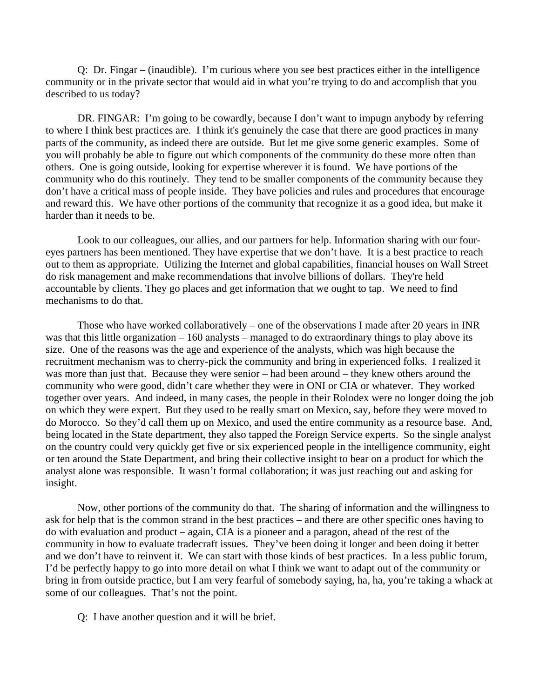Q: Dr. Fingar – (inaudible). I'm curious where you see best practices either in the intelligence community or in the private sector that would aid in what you're trying to do and accomplish that you described to us today?

DR. FINGAR: I'm going to be cowardly, because I don't want to impugn anybody by referring to where I think best practices are. I think it's genuinely the case that there are good practices in many parts of the community, as indeed there are outside. But let me give some generic examples. Some of you will probably be able to figure out which components of the community do these more often than others. One is going outside, looking for expertise wherever it is found. We have portions of the community who do this routinely. They tend to be smaller components of the community because they don't have a critical mass of people inside. They have policies and rules and procedures that encourage and reward this. We have other portions of the community that recognize it as a good idea, but make it harder than it needs to be.

Look to our colleagues, our allies, and our partners for help. Information sharing with our foureyes partners has been mentioned. They have expertise that we don't have. It is a best practice to reach out to them as appropriate. Utilizing the Internet and global capabilities, financial houses on Wall Street do risk management and make recommendations that involve billions of dollars. They're held accountable by clients. They go places and get information that we ought to tap. We need to find mechanisms to do that.

Those who have worked collaboratively – one of the observations I made after 20 years in INR was that this little organization – 160 analysts – managed to do extraordinary things to play above its size. One of the reasons was the age and experience of the analysts, which was high because the recruitment mechanism was to cherry-pick the community and bring in experienced folks. I realized it was more than just that. Because they were senior – had been around – they knew others around the community who were good, didn't care whether they were in ONI or CIA or whatever. They worked together over years. And indeed, in many cases, the people in their Rolodex were no longer doing the job on which they were expert. But they used to be really smart on Mexico, say, before they were moved to do Morocco. So they'd call them up on Mexico, and used the entire community as a resource base. And, being located in the State department, they also tapped the Foreign Service experts. So the single analyst on the country could very quickly get five or six experienced people in the intelligence community, eight or ten around the State Department, and bring their collective insight to bear on a product for which the analyst alone was responsible. It wasn't formal collaboration; it was just reaching out and asking for insight.

Now, other portions of the community do that. The sharing of information and the willingness to ask for help that is the common strand in the best practices – and there are other specific ones having to do with evaluation and product – again, CIA is a pioneer and a paragon, ahead of the rest of the community in how to evaluate tradecraft issues. They've been doing it longer and been doing it better and we don't have to reinvent it. We can start with those kinds of best practices. In a less public forum, I'd be perfectly happy to go into more detail on what I think we want to adapt out of the community or bring in from outside practice, but I am very fearful of somebody saying, ha, ha, you're taking a whack at some of our colleagues. That's not the point.

Q: I have another question and it will be brief.